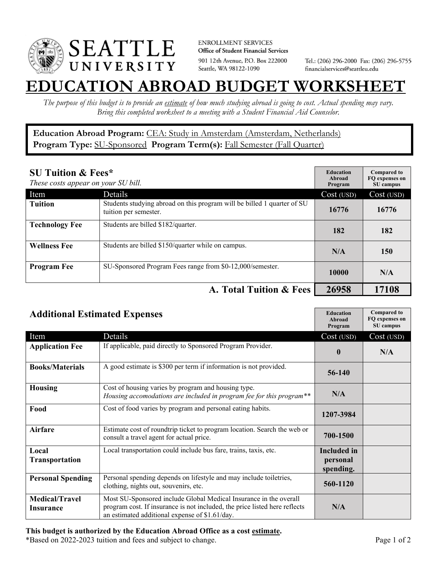

**ENROLLMENT SERVICES** Office of Student Financial Services 901 12th Avenue, P.O. Box 222000 Seattle, WA 98122-1090

Tel.: (206) 296-2000 Fax: (206) 296-5755 financialservices@seattleu.edu

## **EATION ABROAD BUDGET WORKSHEE**

*The purpose of this budget is to provide an estimate of how much studying abroad is going to cost. Actual spending may vary. Bring this completed worksheet to a meeting with a Student Financial Aid Counselor.* 

**Education Abroad Program:** CEA: Study in Amsterdam (Amsterdam, Netherlands) Program Type: **SU-Sponsored** Program Term(s): **Fall Semester (Fall Quarter)** 

| <b>SU Tuition &amp; Fees*</b><br>These costs appear on your SU bill. |                                                                                                  | <b>Education</b><br>Abroad<br>Program | <b>Compared to</b><br>FQ expenses on<br>SU campus |
|----------------------------------------------------------------------|--------------------------------------------------------------------------------------------------|---------------------------------------|---------------------------------------------------|
| Item                                                                 | Details                                                                                          | Cost (USD)                            | Cost (USD)                                        |
| <b>Tuition</b>                                                       | Students studying abroad on this program will be billed 1 quarter of SU<br>tuition per semester. | 16776                                 | 16776                                             |
| <b>Technology Fee</b>                                                | Students are billed \$182/quarter.                                                               | 182                                   | 182                                               |
| <b>Wellness Fee</b>                                                  | Students are billed \$150/quarter while on campus.                                               | N/A                                   | 150                                               |
| <b>Program Fee</b>                                                   | SU-Sponsored Program Fees range from \$0-12,000/semester.                                        | 10000                                 | N/A                                               |
|                                                                      | A. Total Tuition & Fees                                                                          | 26958                                 | 17108                                             |

| <b>Additional Estimated Expenses</b> |                                                                                                                                                                                                   | <b>Education</b><br>Abroad<br>Program | <b>Compared to</b><br>FQ expenses on<br>SU campus |
|--------------------------------------|---------------------------------------------------------------------------------------------------------------------------------------------------------------------------------------------------|---------------------------------------|---------------------------------------------------|
| Item                                 | Details                                                                                                                                                                                           | Cost (USD)                            | Cost (USD)                                        |
| <b>Application Fee</b>               | If applicable, paid directly to Sponsored Program Provider.                                                                                                                                       | $\bf{0}$                              | N/A                                               |
| <b>Books/Materials</b>               | A good estimate is \$300 per term if information is not provided.                                                                                                                                 | 56-140                                |                                                   |
| <b>Housing</b>                       | Cost of housing varies by program and housing type.<br>Housing accomodations are included in program fee for this program**                                                                       | N/A                                   |                                                   |
| Food                                 | Cost of food varies by program and personal eating habits.                                                                                                                                        | 1207-3984                             |                                                   |
| <b>Airfare</b>                       | Estimate cost of roundtrip ticket to program location. Search the web or<br>consult a travel agent for actual price.                                                                              | 700-1500                              |                                                   |
| Local                                | Local transportation could include bus fare, trains, taxis, etc.                                                                                                                                  | <b>Included</b> in                    |                                                   |
| Transportation                       |                                                                                                                                                                                                   | personal<br>spending.                 |                                                   |
| <b>Personal Spending</b>             | Personal spending depends on lifestyle and may include toiletries,<br>clothing, nights out, souvenirs, etc.                                                                                       | 560-1120                              |                                                   |
| <b>Medical/Travel</b><br>Insurance   | Most SU-Sponsored include Global Medical Insurance in the overall<br>program cost. If insurance is not included, the price listed here reflects<br>an estimated additional expense of \$1.61/day. | N/A                                   |                                                   |

## **This budget is authorized by the Education Abroad Office as a cost estimate.**

\*Based on 2022-2023 tuition and fees and subject to change. Page 1 of 2